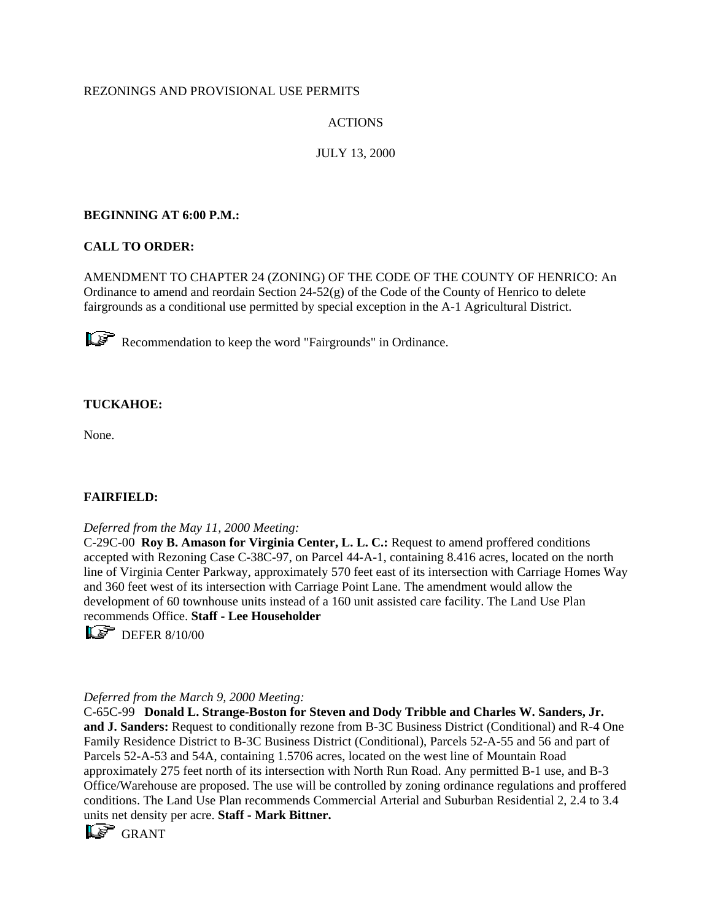# REZONINGS AND PROVISIONAL USE PERMITS

# ACTIONS

# JULY 13, 2000

# **BEGINNING AT 6:00 P.M.:**

# **CALL TO ORDER:**

AMENDMENT TO CHAPTER 24 (ZONING) OF THE CODE OF THE COUNTY OF HENRICO: An Ordinance to amend and reordain Section 24-52(g) of the Code of the County of Henrico to delete fairgrounds as a conditional use permitted by special exception in the A-1 Agricultural District.

Recommendation to keep the word "Fairgrounds" in Ordinance.

# **TUCKAHOE:**

None.

## **FAIRFIELD:**

## *Deferred from the May 11, 2000 Meeting:*

C-29C-00 **Roy B. Amason for Virginia Center, L. L. C.:** Request to amend proffered conditions accepted with Rezoning Case C-38C-97, on Parcel 44-A-1, containing 8.416 acres, located on the north line of Virginia Center Parkway, approximately 570 feet east of its intersection with Carriage Homes Way and 360 feet west of its intersection with Carriage Point Lane. The amendment would allow the development of 60 townhouse units instead of a 160 unit assisted care facility. The Land Use Plan recommends Office. **Staff - Lee Householder**

 $\overline{\mathbb{L}\mathbb{S}}$  DEFER 8/10/00

## *Deferred from the March 9, 2000 Meeting:*

C-65C-99 **Donald L. Strange-Boston for Steven and Dody Tribble and Charles W. Sanders, Jr. and J. Sanders:** Request to conditionally rezone from B-3C Business District (Conditional) and R-4 One Family Residence District to B-3C Business District (Conditional), Parcels 52-A-55 and 56 and part of Parcels 52-A-53 and 54A, containing 1.5706 acres, located on the west line of Mountain Road approximately 275 feet north of its intersection with North Run Road. Any permitted B-1 use, and B-3 Office/Warehouse are proposed. The use will be controlled by zoning ordinance regulations and proffered conditions. The Land Use Plan recommends Commercial Arterial and Suburban Residential 2, 2.4 to 3.4 units net density per acre. **Staff - Mark Bittner.**

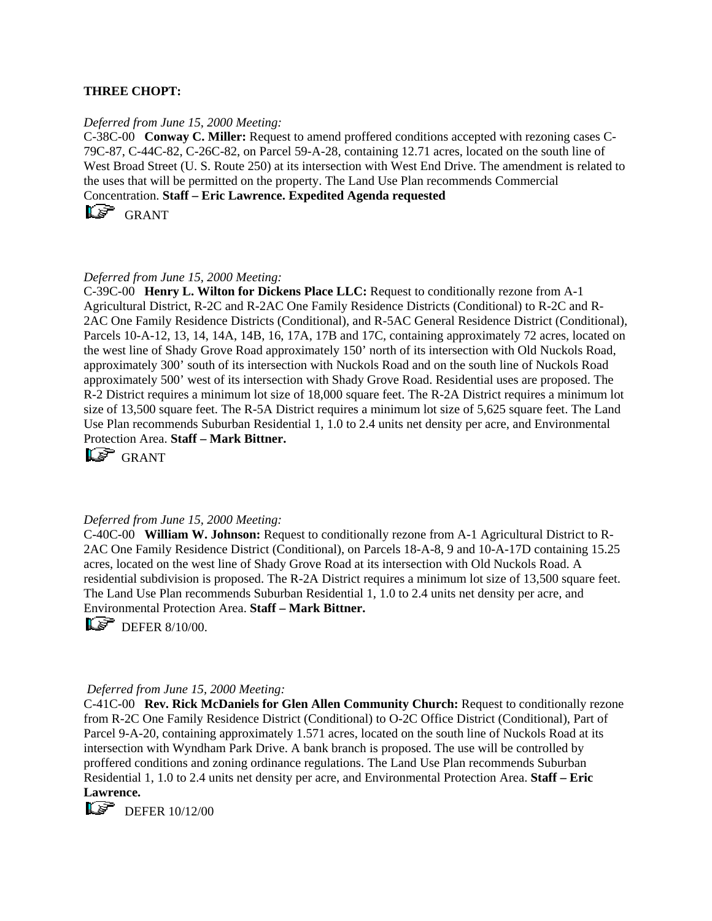#### **THREE CHOPT:**

#### *Deferred from June 15, 2000 Meeting:*

C-38C-00 **Conway C. Miller:** Request to amend proffered conditions accepted with rezoning cases C-79C-87, C-44C-82, C-26C-82, on Parcel 59-A-28, containing 12.71 acres, located on the south line of West Broad Street (U. S. Route 250) at its intersection with West End Drive. The amendment is related to the uses that will be permitted on the property. The Land Use Plan recommends Commercial Concentration. **Staff – Eric Lawrence. Expedited Agenda requested**

 $\overline{\mathbb{L}^{\mathcal{S}}}$  GRANT

#### *Deferred from June 15, 2000 Meeting:*

C-39C-00 **Henry L. Wilton for Dickens Place LLC:** Request to conditionally rezone from A-1 Agricultural District, R-2C and R-2AC One Family Residence Districts (Conditional) to R-2C and R-2AC One Family Residence Districts (Conditional), and R-5AC General Residence District (Conditional), Parcels 10-A-12, 13, 14, 14A, 14B, 16, 17A, 17B and 17C, containing approximately 72 acres, located on the west line of Shady Grove Road approximately 150' north of its intersection with Old Nuckols Road, approximately 300' south of its intersection with Nuckols Road and on the south line of Nuckols Road approximately 500' west of its intersection with Shady Grove Road. Residential uses are proposed. The R-2 District requires a minimum lot size of 18,000 square feet. The R-2A District requires a minimum lot size of 13,500 square feet. The R-5A District requires a minimum lot size of 5,625 square feet. The Land Use Plan recommends Suburban Residential 1, 1.0 to 2.4 units net density per acre, and Environmental Protection Area. **Staff – Mark Bittner.**

LE GRANT

#### *Deferred from June 15, 2000 Meeting:*

C-40C-00 **William W. Johnson:** Request to conditionally rezone from A-1 Agricultural District to R-2AC One Family Residence District (Conditional), on Parcels 18-A-8, 9 and 10-A-17D containing 15.25 acres, located on the west line of Shady Grove Road at its intersection with Old Nuckols Road. A residential subdivision is proposed. The R-2A District requires a minimum lot size of 13,500 square feet. The Land Use Plan recommends Suburban Residential 1, 1.0 to 2.4 units net density per acre, and Environmental Protection Area. **Staff – Mark Bittner.**

 $\mathbb{D}$  DEFER 8/10/00.

#### *Deferred from June 15, 2000 Meeting:*

C-41C-00 **Rev. Rick McDaniels for Glen Allen Community Church:** Request to conditionally rezone from R-2C One Family Residence District (Conditional) to O-2C Office District (Conditional), Part of Parcel 9-A-20, containing approximately 1.571 acres, located on the south line of Nuckols Road at its intersection with Wyndham Park Drive. A bank branch is proposed. The use will be controlled by proffered conditions and zoning ordinance regulations. The Land Use Plan recommends Suburban Residential 1, 1.0 to 2.4 units net density per acre, and Environmental Protection Area. **Staff – Eric Lawrence.**

 $\overline{\mathbb{CP}}$  DEFER 10/12/00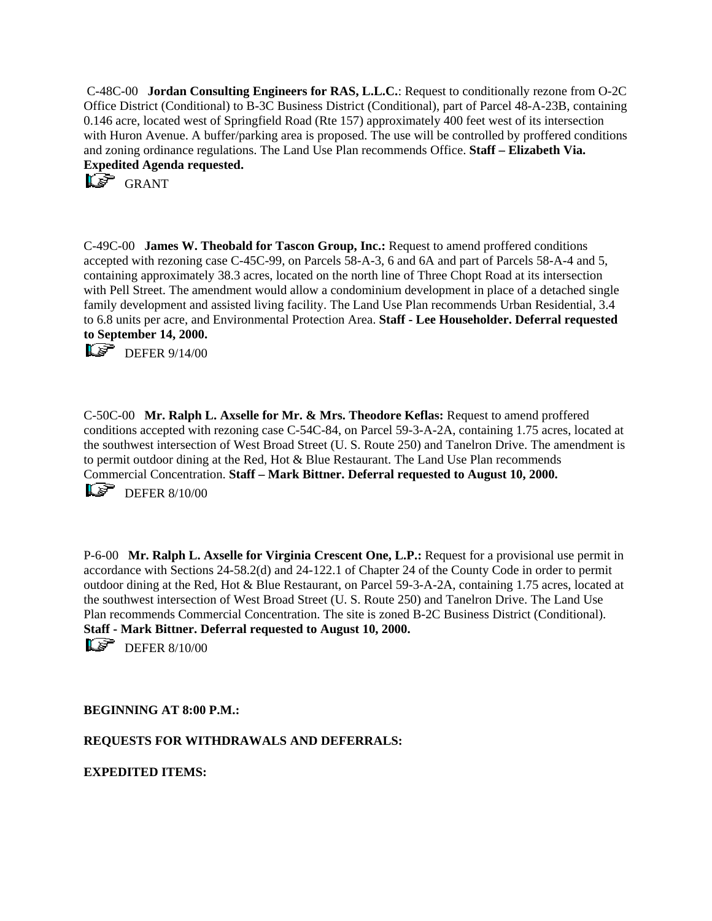C-48C-00 **Jordan Consulting Engineers for RAS, L.L.C.**: Request to conditionally rezone from O-2C Office District (Conditional) to B-3C Business District (Conditional), part of Parcel 48-A-23B, containing 0.146 acre, located west of Springfield Road (Rte 157) approximately 400 feet west of its intersection with Huron Avenue. A buffer/parking area is proposed. The use will be controlled by proffered conditions and zoning ordinance regulations. The Land Use Plan recommends Office. **Staff – Elizabeth Via. Expedited Agenda requested.**

**LS** GRANT

C-49C-00 **James W. Theobald for Tascon Group, Inc.:** Request to amend proffered conditions accepted with rezoning case C-45C-99, on Parcels 58-A-3, 6 and 6A and part of Parcels 58-A-4 and 5, containing approximately 38.3 acres, located on the north line of Three Chopt Road at its intersection with Pell Street. The amendment would allow a condominium development in place of a detached single family development and assisted living facility. The Land Use Plan recommends Urban Residential, 3.4 to 6.8 units per acre, and Environmental Protection Area. **Staff - Lee Householder. Deferral requested to September 14, 2000.**

 $\overline{\mathbb{L}\mathscr{F}}$  DEFER 9/14/00

C-50C-00 **Mr. Ralph L. Axselle for Mr. & Mrs. Theodore Keflas:** Request to amend proffered conditions accepted with rezoning case C-54C-84, on Parcel 59-3-A-2A, containing 1.75 acres, located at the southwest intersection of West Broad Street (U. S. Route 250) and Tanelron Drive. The amendment is to permit outdoor dining at the Red, Hot & Blue Restaurant. The Land Use Plan recommends Commercial Concentration. **Staff – Mark Bittner. Deferral requested to August 10, 2000.**  $\mathbb{Q}$  DEFER 8/10/00

P-6-00 **Mr. Ralph L. Axselle for Virginia Crescent One, L.P.:** Request for a provisional use permit in accordance with Sections 24-58.2(d) and 24-122.1 of Chapter 24 of the County Code in order to permit outdoor dining at the Red, Hot & Blue Restaurant, on Parcel 59-3-A-2A, containing 1.75 acres, located at the southwest intersection of West Broad Street (U. S. Route 250) and Tanelron Drive. The Land Use Plan recommends Commercial Concentration. The site is zoned B-2C Business District (Conditional). **Staff - Mark Bittner. Deferral requested to August 10, 2000.** 

 $\overline{\mathsf{L}\mathscr{F}}$  DEFER 8/10/00

**BEGINNING AT 8:00 P.M.:**

**REQUESTS FOR WITHDRAWALS AND DEFERRALS:**

**EXPEDITED ITEMS:**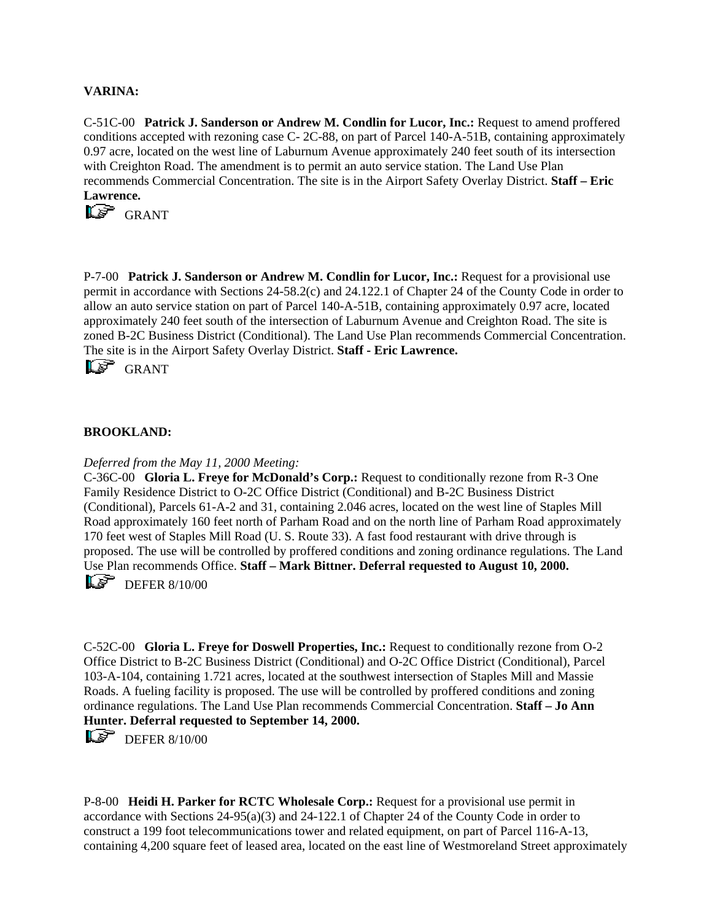## **VARINA:**

C-51C-00 **Patrick J. Sanderson or Andrew M. Condlin for Lucor, Inc.:** Request to amend proffered conditions accepted with rezoning case C- 2C-88, on part of Parcel 140-A-51B, containing approximately 0.97 acre, located on the west line of Laburnum Avenue approximately 240 feet south of its intersection with Creighton Road. The amendment is to permit an auto service station. The Land Use Plan recommends Commercial Concentration. The site is in the Airport Safety Overlay District. **Staff – Eric Lawrence.**



P-7-00 **Patrick J. Sanderson or Andrew M. Condlin for Lucor, Inc.:** Request for a provisional use permit in accordance with Sections 24-58.2(c) and 24.122.1 of Chapter 24 of the County Code in order to allow an auto service station on part of Parcel 140-A-51B, containing approximately 0.97 acre, located approximately 240 feet south of the intersection of Laburnum Avenue and Creighton Road. The site is zoned B-2C Business District (Conditional). The Land Use Plan recommends Commercial Concentration. The site is in the Airport Safety Overlay District. **Staff - Eric Lawrence.** 

**LS** GRANT

## **BROOKLAND:**

#### *Deferred from the May 11, 2000 Meeting:*

C-36C-00 **Gloria L. Freye for McDonald's Corp.:** Request to conditionally rezone from R-3 One Family Residence District to O-2C Office District (Conditional) and B-2C Business District (Conditional), Parcels 61-A-2 and 31, containing 2.046 acres, located on the west line of Staples Mill Road approximately 160 feet north of Parham Road and on the north line of Parham Road approximately 170 feet west of Staples Mill Road (U. S. Route 33). A fast food restaurant with drive through is proposed. The use will be controlled by proffered conditions and zoning ordinance regulations. The Land Use Plan recommends Office. **Staff – Mark Bittner. Deferral requested to August 10, 2000.**  $\overline{\mathbb{L}\mathscr{F}}$  DEFER 8/10/00

C-52C-00 **Gloria L. Freye for Doswell Properties, Inc.:** Request to conditionally rezone from O-2 Office District to B-2C Business District (Conditional) and O-2C Office District (Conditional), Parcel 103-A-104, containing 1.721 acres, located at the southwest intersection of Staples Mill and Massie Roads. A fueling facility is proposed. The use will be controlled by proffered conditions and zoning ordinance regulations. The Land Use Plan recommends Commercial Concentration. **Staff – Jo Ann Hunter. Deferral requested to September 14, 2000.**

 $\overline{\mathsf{L}\mathscr{F}}$  DEFER 8/10/00

P-8-00 **Heidi H. Parker for RCTC Wholesale Corp.:** Request for a provisional use permit in accordance with Sections 24-95(a)(3) and 24-122.1 of Chapter 24 of the County Code in order to construct a 199 foot telecommunications tower and related equipment, on part of Parcel 116-A-13, containing 4,200 square feet of leased area, located on the east line of Westmoreland Street approximately